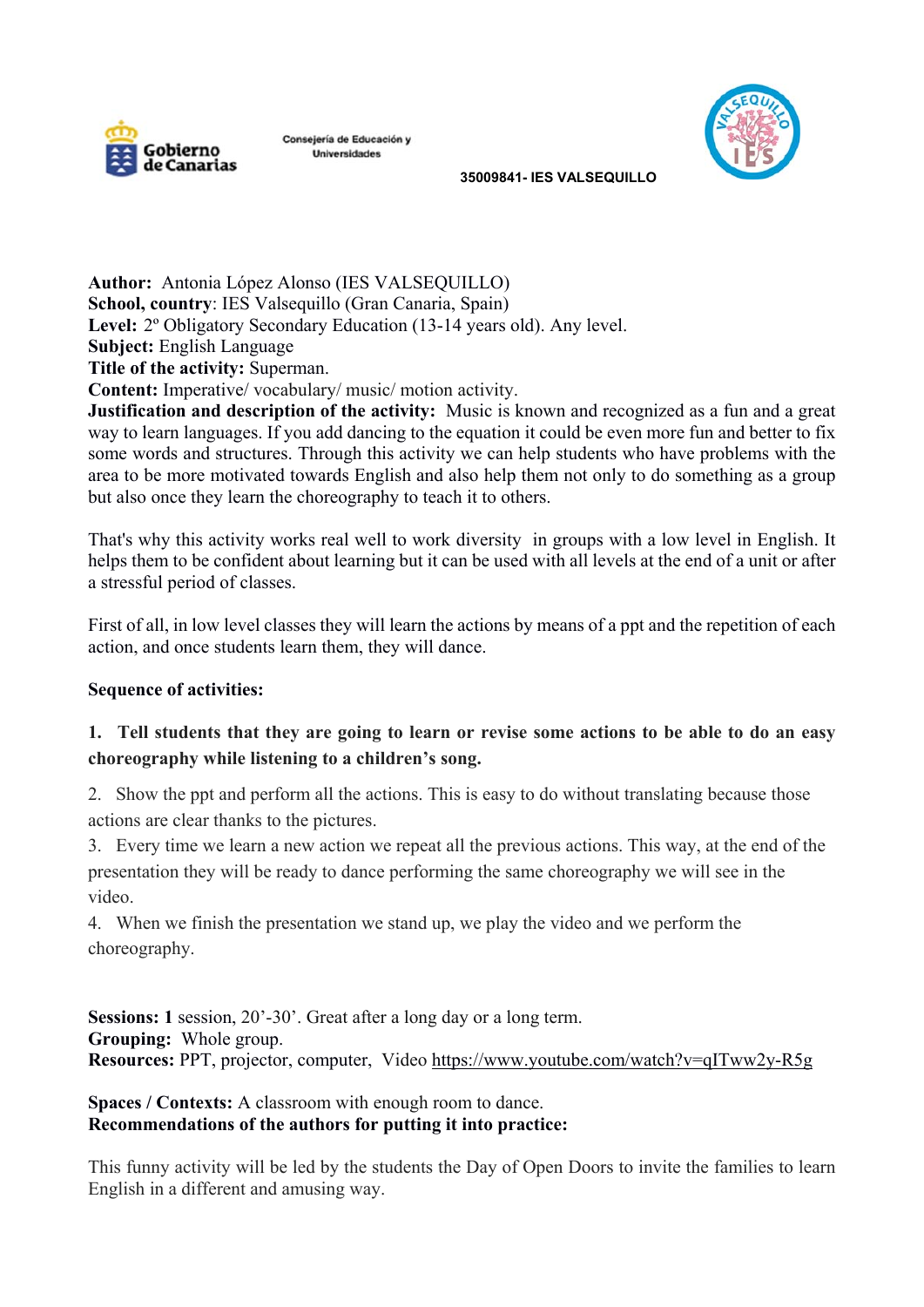

Consejería de Educación y Universidades



 **35009841- IES VALSEQUILLO** 

**Author:** Antonia López Alonso (IES VALSEQUILLO) **School, country**: IES Valsequillo (Gran Canaria, Spain) Level: 2<sup>°</sup> Obligatory Secondary Education (13-14 years old). Any level. **Subject:** English Language **Title of the activity:** Superman. **Content:** Imperative/ vocabulary/ music/ motion activity.

**Justification and description of the activity:** Music is known and recognized as a fun and a great way to learn languages. If you add dancing to the equation it could be even more fun and better to fix some words and structures. Through this activity we can help students who have problems with the area to be more motivated towards English and also help them not only to do something as a group but also once they learn the choreography to teach it to others.

That's why this activity works real well to work diversity in groups with a low level in English. It helps them to be confident about learning but it can be used with all levels at the end of a unit or after a stressful period of classes.

First of all, in low level classes they will learn the actions by means of a ppt and the repetition of each action, and once students learn them, they will dance.

## **Sequence of activities:**

## **1. Tell students that they are going to learn or revise some actions to be able to do an easy choreography while listening to a children's song.**

2. Show the ppt and perform all the actions. This is easy to do without translating because those actions are clear thanks to the pictures.

3. Every time we learn a new action we repeat all the previous actions. This way, at the end of the presentation they will be ready to dance performing the same choreography we will see in the video.

4. When we finish the presentation we stand up, we play the video and we perform the choreography.

**Sessions: 1** session, 20'-30'. Great after a long day or a long term. **Grouping:** Whole group. **Resources:** PPT, projector, computer, Video https://www.youtube.com/watch?v=qITww2y-R5g

## **Spaces / Contexts:** A classroom with enough room to dance. **Recommendations of the authors for putting it into practice:**

This funny activity will be led by the students the Day of Open Doors to invite the families to learn English in a different and amusing way.